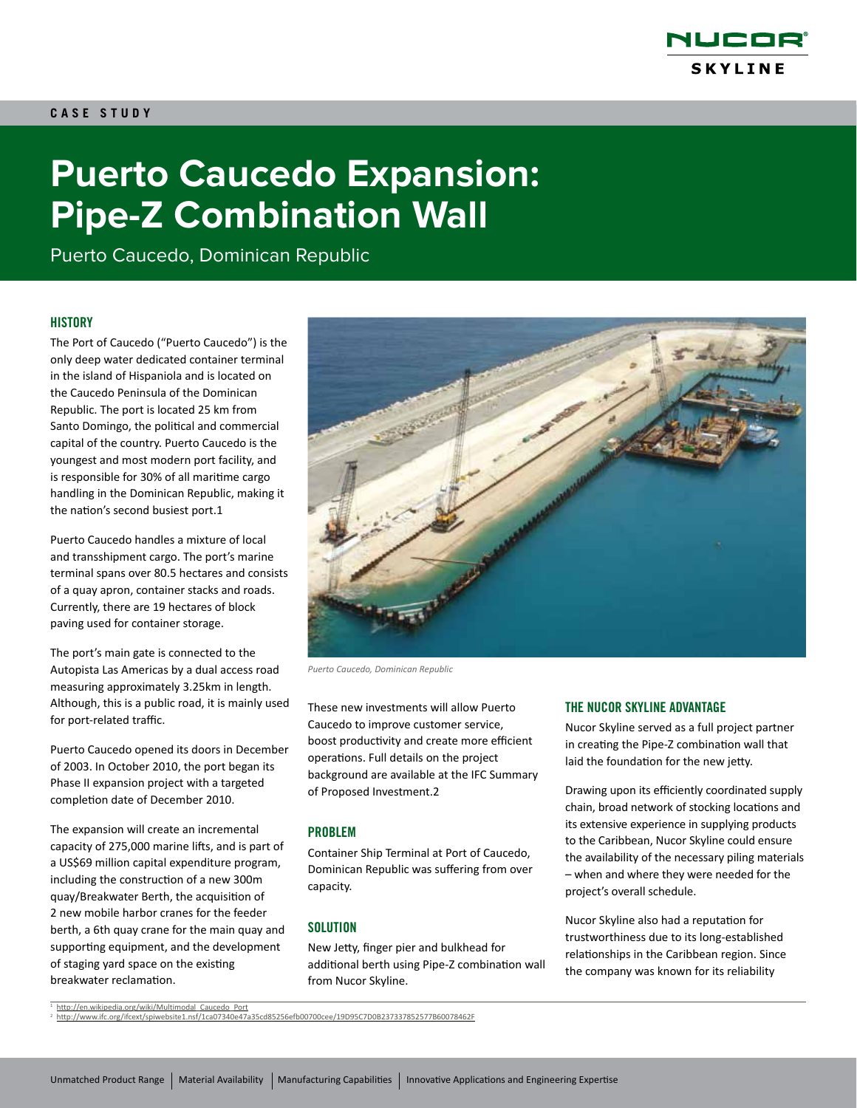

# **Puerto Caucedo Expansion: Pipe-Z Combination Wall**

Puerto Caucedo, Dominican Republic

#### **HISTORY**

The Port of Caucedo ("Puerto Caucedo") is the only deep water dedicated container terminal in the island of Hispaniola and is located on the Caucedo Peninsula of the Dominican Republic. The port is located 25 km from Santo Domingo, the political and commercial capital of the country. Puerto Caucedo is the youngest and most modern port facility, and is responsible for 30% of all maritime cargo handling in the Dominican Republic, making it the nation's second busiest port.1

Puerto Caucedo handles a mixture of local and transshipment cargo. The port's marine terminal spans over 80.5 hectares and consists of a quay apron, container stacks and roads. Currently, there are 19 hectares of block paving used for container storage.

The port's main gate is connected to the Autopista Las Americas by a dual access road measuring approximately 3.25km in length. Although, this is a public road, it is mainly used for port-related traffic.

Puerto Caucedo opened its doors in December of 2003. In October 2010, the port began its Phase II expansion project with a targeted completion date of December 2010.

The expansion will create an incremental capacity of 275,000 marine lifts, and is part of a US\$69 million capital expenditure program, including the construction of a new 300m quay/Breakwater Berth, the acquisition of 2 new mobile harbor cranes for the feeder berth, a 6th quay crane for the main quay and supporting equipment, and the development of staging yard space on the existing breakwater reclamation.



*Puerto Caucedo, Dominican Republic*

These new investments will allow Puerto Caucedo to improve customer service, boost productivity and create more efficient operations. Full details on the project background are available at the IFC Summary of Proposed Investment.2

#### PROBLEM

Container Ship Terminal at Port of Caucedo, Dominican Republic was suffering from over capacity.

#### **SOLUTION**

New Jetty, finger pier and bulkhead for additional berth using Pipe-Z combination wall from Nucor Skyline.

#### THE NUCOR SKYLINE ADVANTAGE

Nucor Skyline served as a full project partner in creating the Pipe-Z combination wall that laid the foundation for the new jetty.

Drawing upon its efficiently coordinated supply chain, broad network of stocking locations and its extensive experience in supplying products to the Caribbean, Nucor Skyline could ensure the availability of the necessary piling materials – when and where they were needed for the project's overall schedule.

Nucor Skyline also had a reputation for trustworthiness due to its long-established relationships in the Caribbean region. Since the company was known for its reliability

<sup>1</sup> http://en.wikipedia.org/wiki/Multimodal\_Caucedo\_Port 2 http://www.ifc.org/ifcext/spiwebsite1.nsf/1ca07340e47a35cd85256efb00700cee/19D95C7D0B237337852577B60078462F